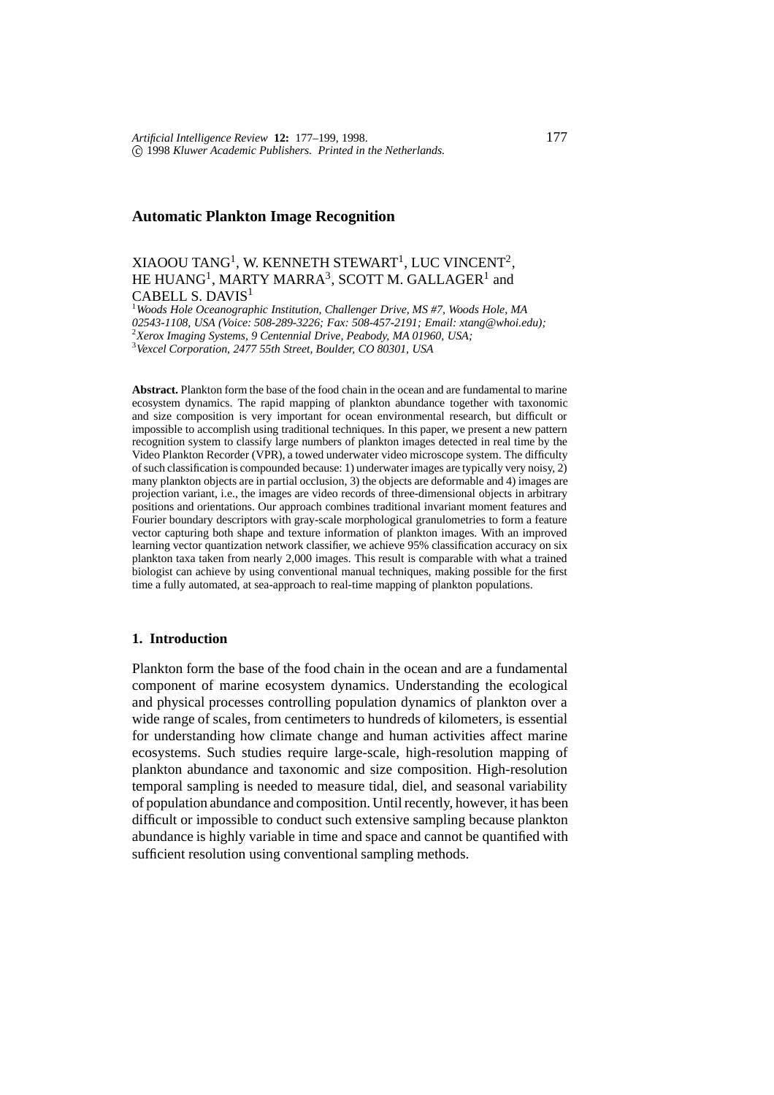### **Automatic Plankton Image Recognition**

# $XIAOOU$  TANG<sup>1</sup>, W. KENNETH STEWART<sup>1</sup>, LUC VINCENT<sup>2</sup>, HE HUANG<sup>1</sup>, MARTY MARRA<sup>3</sup>, SCOTT M. GALLAGER<sup>1</sup> and CABELL S. DAVIS<sup>1</sup>

<sup>1</sup> Woods Hole Oceanographic Institution, Challenger Drive, MS #7, Woods Hole, MA *02543-1108, USA (Voice: 508-289-3226; Fax: 508-457-2191; Email: xtang@whoi.edu);* 2 *Xerox Imaging Systems, 9 Centennial Drive, Peabody, MA 01960, USA;* 3 *Vexcel Corporation, 2477 55th Street, Boulder, CO 80301, USA*

**Abstract.** Plankton form the base of the food chain in the ocean and are fundamental to marine ecosystem dynamics. The rapid mapping of plankton abundance together with taxonomic and size composition is very important for ocean environmental research, but difficult or impossible to accomplish using traditional techniques. In this paper, we present a new pattern recognition system to classify large numbers of plankton images detected in real time by the Video Plankton Recorder (VPR), a towed underwater video microscope system. The difficulty of such classification is compounded because: 1) underwater images are typically very noisy, 2) many plankton objects are in partial occlusion, 3) the objects are deformable and 4) images are projection variant, i.e., the images are video records of three-dimensional objects in arbitrary positions and orientations. Our approach combines traditional invariant moment features and Fourier boundary descriptors with gray-scale morphological granulometries to form a feature vector capturing both shape and texture information of plankton images. With an improved learning vector quantization network classifier, we achieve 95% classification accuracy on six plankton taxa taken from nearly 2,000 images. This result is comparable with what a trained biologist can achieve by using conventional manual techniques, making possible for the first time a fully automated, at sea-approach to real-time mapping of plankton populations.

# **1. Introduction**

Plankton form the base of the food chain in the ocean and are a fundamental component of marine ecosystem dynamics. Understanding the ecological and physical processes controlling population dynamics of plankton over a wide range of scales, from centimeters to hundreds of kilometers, is essential for understanding how climate change and human activities affect marine ecosystems. Such studies require large-scale, high-resolution mapping of plankton abundance and taxonomic and size composition. High-resolution temporal sampling is needed to measure tidal, diel, and seasonal variability of population abundance and composition. Until recently, however, it has been difficult or impossible to conduct such extensive sampling because plankton abundance is highly variable in time and space and cannot be quantified with sufficient resolution using conventional sampling methods.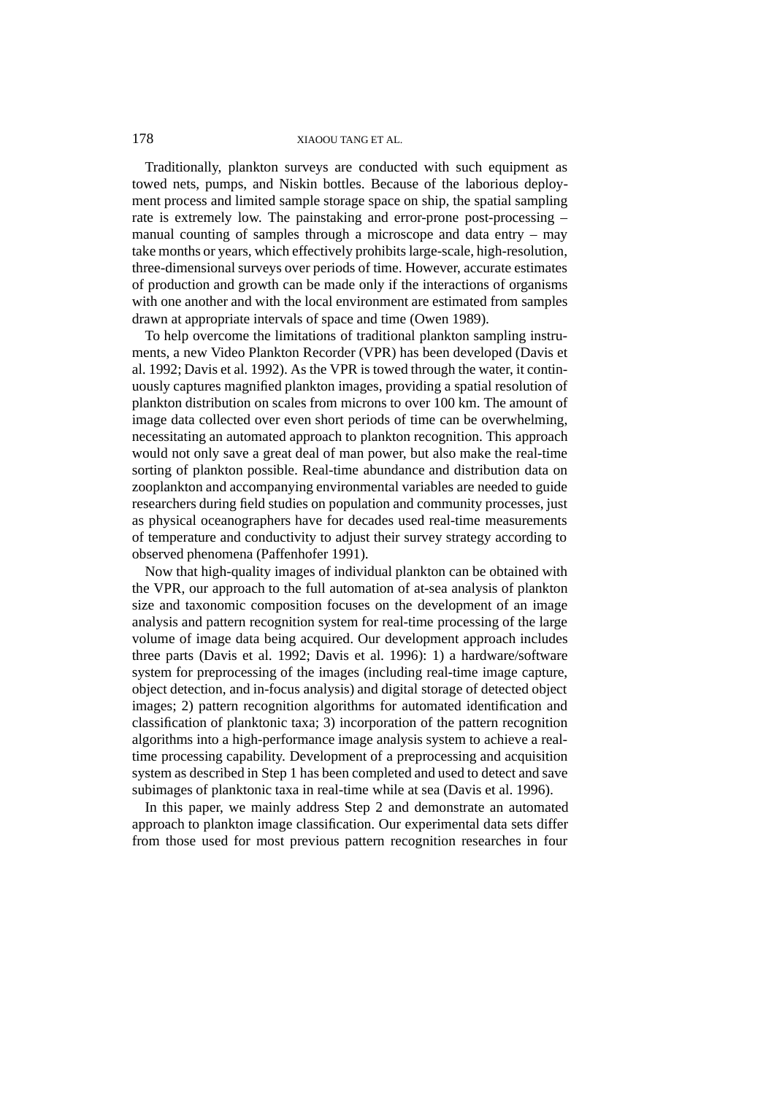Traditionally, plankton surveys are conducted with such equipment as towed nets, pumps, and Niskin bottles. Because of the laborious deployment process and limited sample storage space on ship, the spatial sampling rate is extremely low. The painstaking and error-prone post-processing – manual counting of samples through a microscope and data entry – may take months or years, which effectively prohibits large-scale, high-resolution, three-dimensional surveys over periods of time. However, accurate estimates of production and growth can be made only if the interactions of organisms with one another and with the local environment are estimated from samples drawn at appropriate intervals of space and time (Owen 1989).

To help overcome the limitations of traditional plankton sampling instruments, a new Video Plankton Recorder (VPR) has been developed (Davis et al. 1992; Davis et al. 1992). As the VPR is towed through the water, it continuously captures magnified plankton images, providing a spatial resolution of plankton distribution on scales from microns to over 100 km. The amount of image data collected over even short periods of time can be overwhelming, necessitating an automated approach to plankton recognition. This approach would not only save a great deal of man power, but also make the real-time sorting of plankton possible. Real-time abundance and distribution data on zooplankton and accompanying environmental variables are needed to guide researchers during field studies on population and community processes, just as physical oceanographers have for decades used real-time measurements of temperature and conductivity to adjust their survey strategy according to observed phenomena (Paffenhofer 1991).

Now that high-quality images of individual plankton can be obtained with the VPR, our approach to the full automation of at-sea analysis of plankton size and taxonomic composition focuses on the development of an image analysis and pattern recognition system for real-time processing of the large volume of image data being acquired. Our development approach includes three parts (Davis et al. 1992; Davis et al. 1996): 1) a hardware/software system for preprocessing of the images (including real-time image capture, object detection, and in-focus analysis) and digital storage of detected object images; 2) pattern recognition algorithms for automated identification and classification of planktonic taxa; 3) incorporation of the pattern recognition algorithms into a high-performance image analysis system to achieve a realtime processing capability. Development of a preprocessing and acquisition system as described in Step 1 has been completed and used to detect and save subimages of planktonic taxa in real-time while at sea (Davis et al. 1996).

In this paper, we mainly address Step 2 and demonstrate an automated approach to plankton image classification. Our experimental data sets differ from those used for most previous pattern recognition researches in four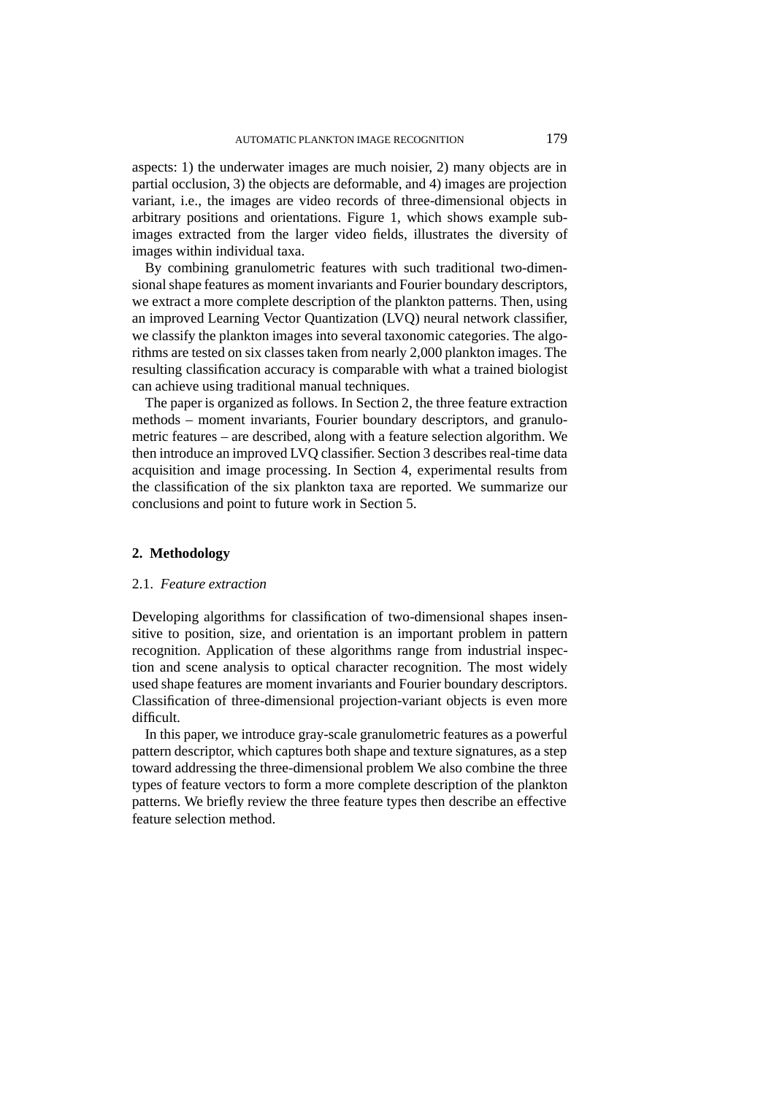aspects: 1) the underwater images are much noisier, 2) many objects are in partial occlusion, 3) the objects are deformable, and 4) images are projection variant, i.e., the images are video records of three-dimensional objects in arbitrary positions and orientations. Figure 1, which shows example subimages extracted from the larger video fields, illustrates the diversity of images within individual taxa.

By combining granulometric features with such traditional two-dimensional shape features as moment invariants and Fourier boundary descriptors, we extract a more complete description of the plankton patterns. Then, using an improved Learning Vector Quantization (LVQ) neural network classifier, we classify the plankton images into several taxonomic categories. The algorithms are tested on six classes taken from nearly 2,000 plankton images. The resulting classification accuracy is comparable with what a trained biologist can achieve using traditional manual techniques.

The paper is organized as follows. In Section 2, the three feature extraction methods – moment invariants, Fourier boundary descriptors, and granulometric features – are described, along with a feature selection algorithm. We then introduce an improved LVQ classifier. Section 3 describes real-time data acquisition and image processing. In Section 4, experimental results from the classification of the six plankton taxa are reported. We summarize our conclusions and point to future work in Section 5.

# **2. Methodology**

# 2.1. *Feature extraction*

Developing algorithms for classification of two-dimensional shapes insensitive to position, size, and orientation is an important problem in pattern recognition. Application of these algorithms range from industrial inspection and scene analysis to optical character recognition. The most widely used shape features are moment invariants and Fourier boundary descriptors. Classification of three-dimensional projection-variant objects is even more difficult.

In this paper, we introduce gray-scale granulometric features as a powerful pattern descriptor, which captures both shape and texture signatures, as a step toward addressing the three-dimensional problem We also combine the three types of feature vectors to form a more complete description of the plankton patterns. We briefly review the three feature types then describe an effective feature selection method.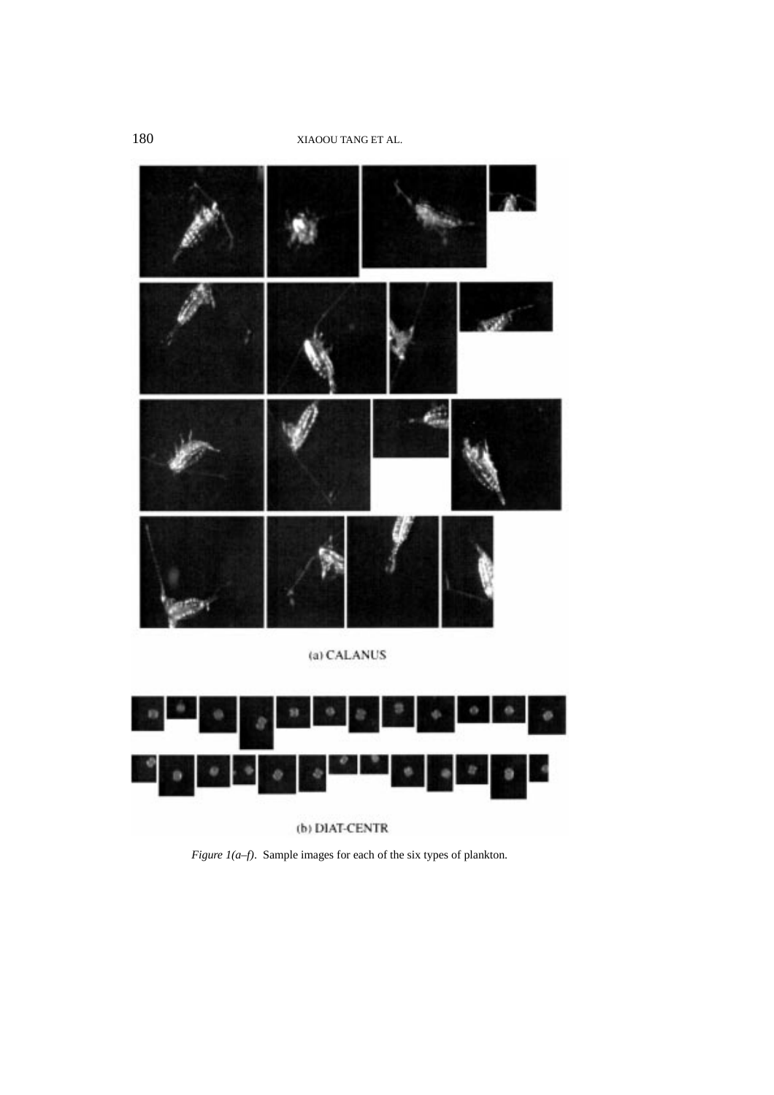

(a) CALANUS



(b) DIAT-CENTR

*Figure 1(a–f)*. Sample images for each of the six types of plankton.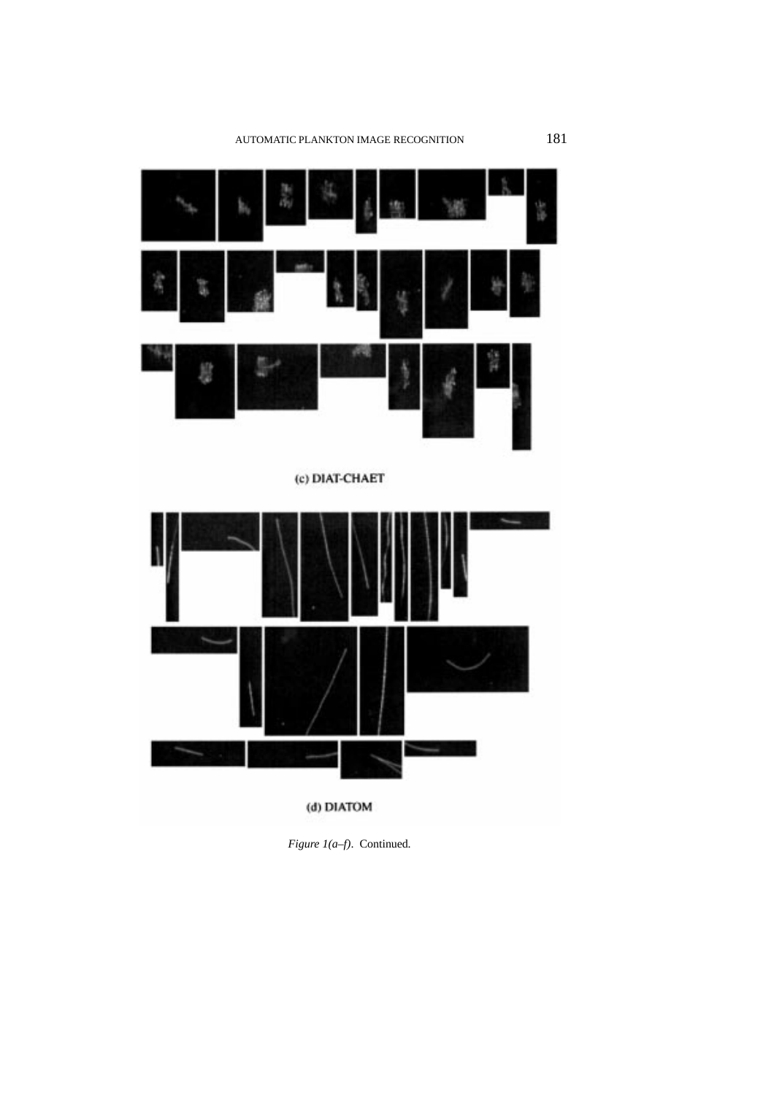AUTOMATIC PLANKTON IMAGE RECOGNITION 181



(c) DIAT-CHAET



*Figure 1(a–f)*. Continued.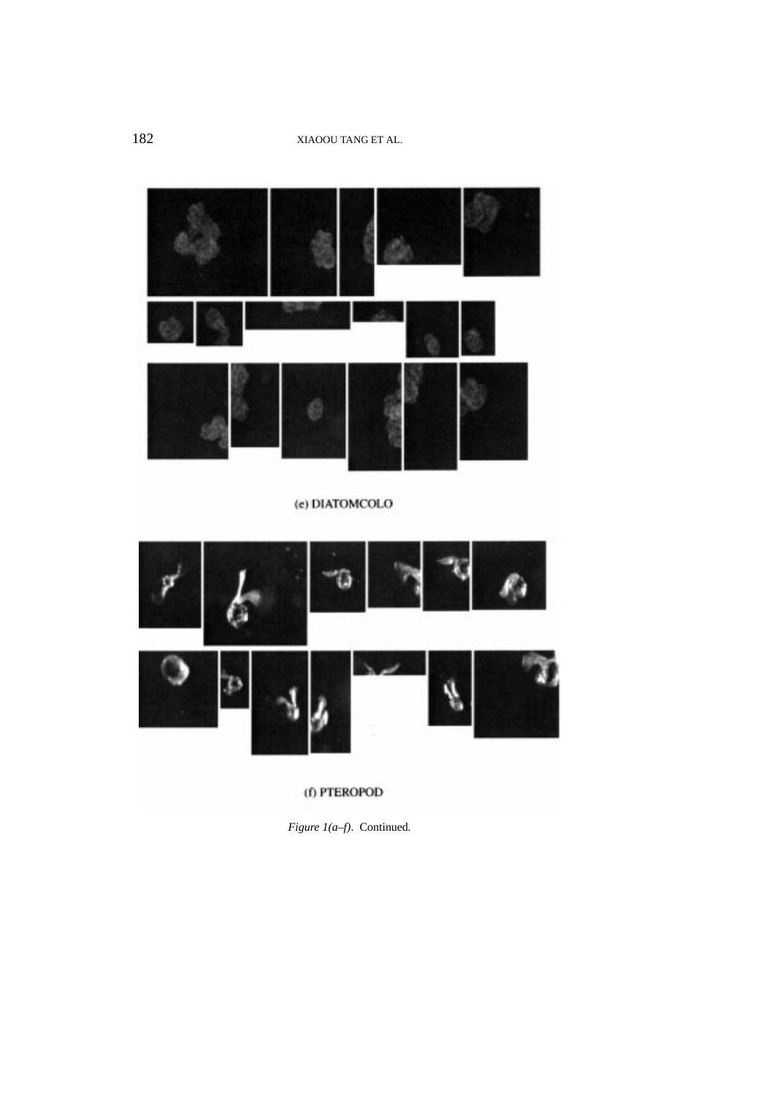

(e) DIATOMCOLO



(f) PTEROPOD

*Figure 1(a–f)*. Continued.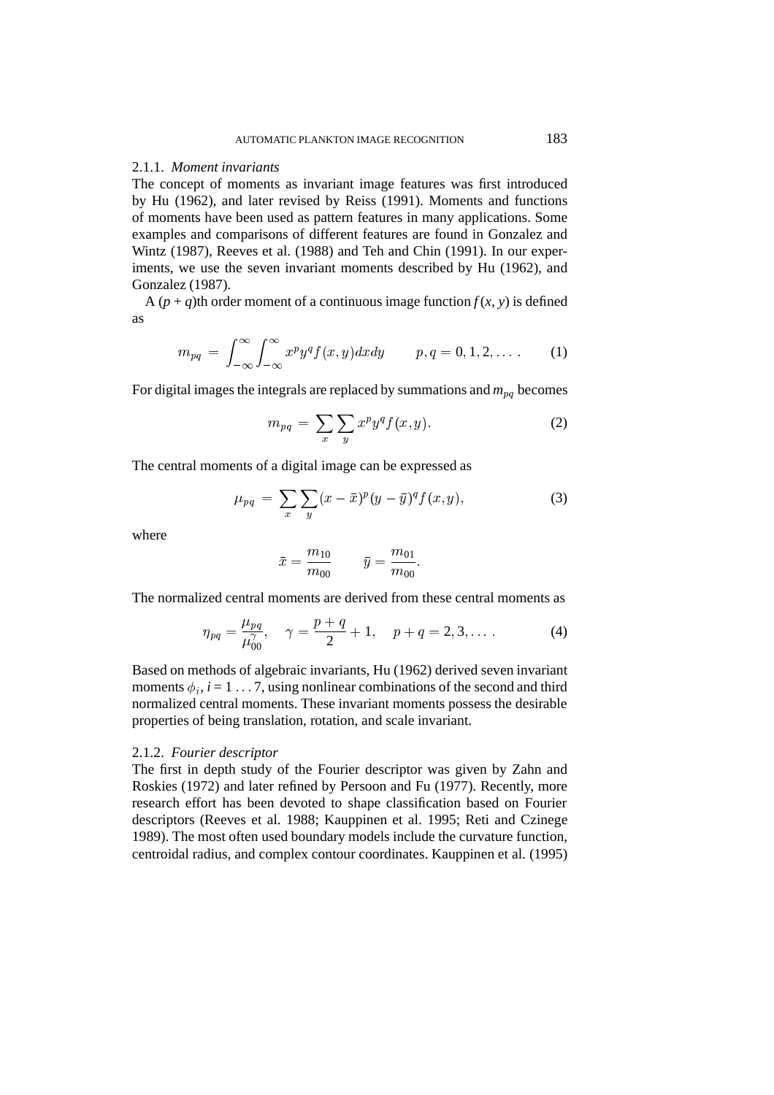# 2.1.1. *Moment invariants*

The concept of moments as invariant image features was first introduced by Hu (1962), and later revised by Reiss (1991). Moments and functions of moments have been used as pattern features in many applications. Some examples and comparisons of different features are found in Gonzalez and Wintz (1987), Reeves et al. (1988) and Teh and Chin (1991). In our experiments, we use the seven invariant moments described by Hu (1962), and Gonzalez (1987).

A  $(p+q)$ th order moment of a continuous image function  $f(x, y)$  is defined as

$$
m_{pq} = \int_{-\infty}^{\infty} \int_{-\infty}^{\infty} x^p y^q f(x, y) dx dy \qquad p, q = 0, 1, 2, \dots \qquad (1)
$$

For digital images the integrals are replaced by summations and  $m_{pq}$  becomes

$$
m_{pq} = \sum_{x} \sum_{y} x^p y^q f(x, y). \tag{2}
$$

The central moments of a digital image can be expressed as

$$
\mu_{pq} = \sum_{x} \sum_{y} (x - \bar{x})^p (y - \bar{y})^q f(x, y), \tag{3}
$$

where

$$
\bar{x} = \frac{m_{10}}{m_{00}} \qquad \bar{y} = \frac{m_{01}}{m_{00}}.
$$

The normalized central moments are derived from these central moments as

$$
\eta_{pq} = \frac{\mu_{pq}}{\mu_{00}^{\gamma}}, \quad \gamma = \frac{p+q}{2} + 1, \quad p+q = 2, 3, \dots \tag{4}
$$

Based on methods of algebraic invariants, Hu (1962) derived seven invariant moments  $\phi_i$ ,  $i = 1 \ldots 7$ , using nonlinear combinations of the second and third normalized central moments. These invariant moments possess the desirable properties of being translation, rotation, and scale invariant.

### 2.1.2. *Fourier descriptor*

The first in depth study of the Fourier descriptor was given by Zahn and Roskies (1972) and later refined by Persoon and Fu (1977). Recently, more research effort has been devoted to shape classification based on Fourier descriptors (Reeves et al. 1988; Kauppinen et al. 1995; Reti and Czinege 1989). The most often used boundary models include the curvature function, centroidal radius, and complex contour coordinates. Kauppinen et al. (1995)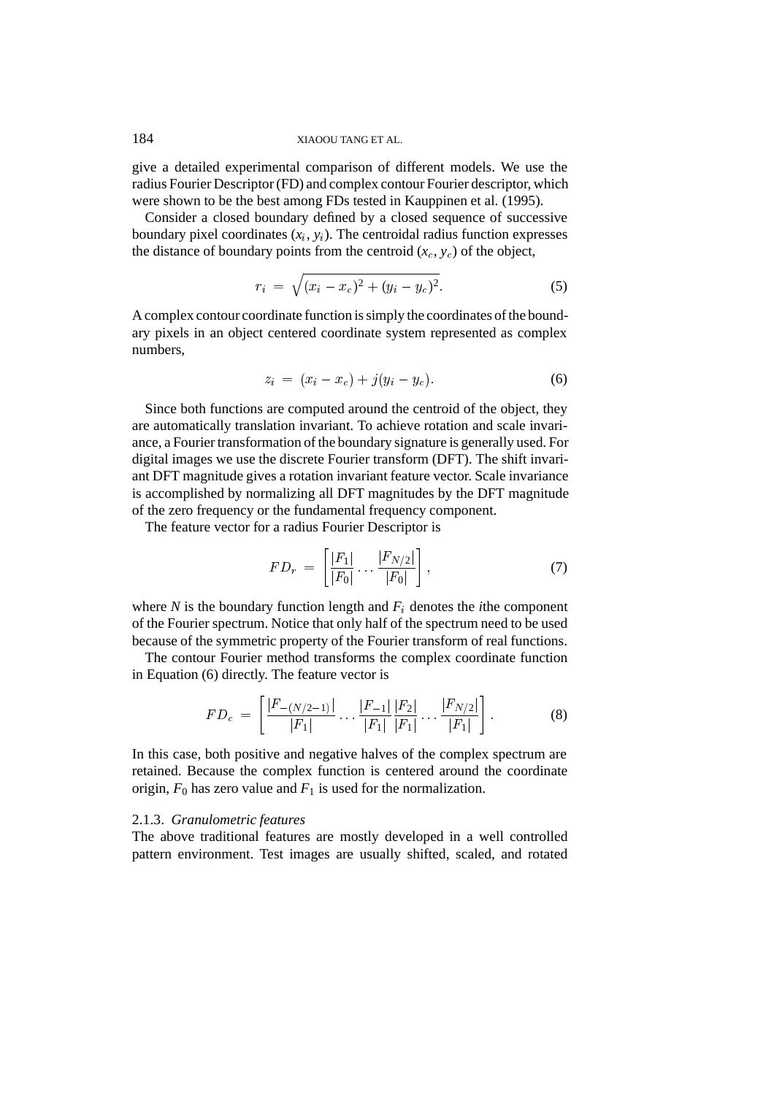give a detailed experimental comparison of different models. We use the radius Fourier Descriptor (FD) and complex contour Fourier descriptor, which were shown to be the best among FDs tested in Kauppinen et al. (1995).

Consider a closed boundary defined by a closed sequence of successive boundary pixel coordinates  $(x_i, y_i)$ . The centroidal radius function expresses the distance of boundary points from the centroid  $(x_c, y_c)$  of the object,

$$
r_i = \sqrt{(x_i - x_c)^2 + (y_i - y_c)^2}.
$$
 (5)

A complex contour coordinate function is simply the coordinates of the boundary pixels in an object centered coordinate system represented as complex numbers,

$$
z_i = (x_i - x_c) + j(y_i - y_c). \tag{6}
$$

Since both functions are computed around the centroid of the object, they are automatically translation invariant. To achieve rotation and scale invariance, a Fourier transformation of the boundary signature is generally used. For digital images we use the discrete Fourier transform (DFT). The shift invariant DFT magnitude gives a rotation invariant feature vector. Scale invariance is accomplished by normalizing all DFT magnitudes by the DFT magnitude of the zero frequency or the fundamental frequency component.

The feature vector for a radius Fourier Descriptor is

$$
FD_r \ = \ \left[ \frac{|F_1|}{|F_0|} \dots \frac{|F_{N/2}|}{|F_0|} \right],\tag{7}
$$

where  $N$  is the boundary function length and  $F_i$  denotes the *i*the component of the Fourier spectrum. Notice that only half of the spectrum need to be used because of the symmetric property of the Fourier transform of real functions.

The contour Fourier method transforms the complex coordinate function in Equation (6) directly. The feature vector is

$$
FD_c = \left[ \frac{|F_{-(N/2-1)}|}{|F_1|} \dots \frac{|F_{-1}|}{|F_1|} \frac{|F_2|}{|F_1|} \dots \frac{|F_{N/2}|}{|F_1|} \right].
$$
 (8)

In this case, both positive and negative halves of the complex spectrum are retained. Because the complex function is centered around the coordinate origin,  $F_0$  has zero value and  $F_1$  is used for the normalization.

### 2.1.3. *Granulometric features*

The above traditional features are mostly developed in a well controlled pattern environment. Test images are usually shifted, scaled, and rotated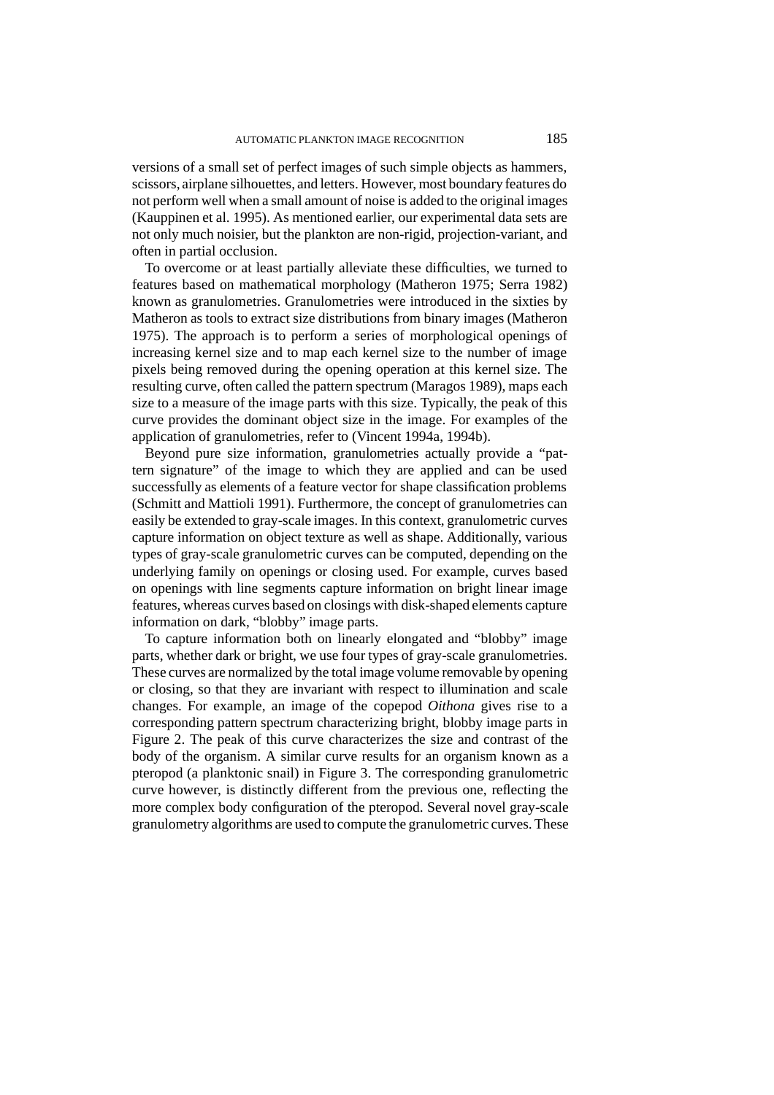versions of a small set of perfect images of such simple objects as hammers, scissors, airplane silhouettes, and letters. However, most boundary features do not perform well when a small amount of noise is added to the original images (Kauppinen et al. 1995). As mentioned earlier, our experimental data sets are not only much noisier, but the plankton are non-rigid, projection-variant, and often in partial occlusion.

To overcome or at least partially alleviate these difficulties, we turned to features based on mathematical morphology (Matheron 1975; Serra 1982) known as granulometries. Granulometries were introduced in the sixties by Matheron as tools to extract size distributions from binary images (Matheron 1975). The approach is to perform a series of morphological openings of increasing kernel size and to map each kernel size to the number of image pixels being removed during the opening operation at this kernel size. The resulting curve, often called the pattern spectrum (Maragos 1989), maps each size to a measure of the image parts with this size. Typically, the peak of this curve provides the dominant object size in the image. For examples of the application of granulometries, refer to (Vincent 1994a, 1994b).

Beyond pure size information, granulometries actually provide a "pattern signature" of the image to which they are applied and can be used successfully as elements of a feature vector for shape classification problems (Schmitt and Mattioli 1991). Furthermore, the concept of granulometries can easily be extended to gray-scale images. In this context, granulometric curves capture information on object texture as well as shape. Additionally, various types of gray-scale granulometric curves can be computed, depending on the underlying family on openings or closing used. For example, curves based on openings with line segments capture information on bright linear image features, whereas curves based on closings with disk-shaped elements capture information on dark, "blobby" image parts.

To capture information both on linearly elongated and "blobby" image parts, whether dark or bright, we use four types of gray-scale granulometries. These curves are normalized by the total image volume removable by opening or closing, so that they are invariant with respect to illumination and scale changes. For example, an image of the copepod *Oithona* gives rise to a corresponding pattern spectrum characterizing bright, blobby image parts in Figure 2. The peak of this curve characterizes the size and contrast of the body of the organism. A similar curve results for an organism known as a pteropod (a planktonic snail) in Figure 3. The corresponding granulometric curve however, is distinctly different from the previous one, reflecting the more complex body configuration of the pteropod. Several novel gray-scale granulometry algorithms are used to compute the granulometric curves. These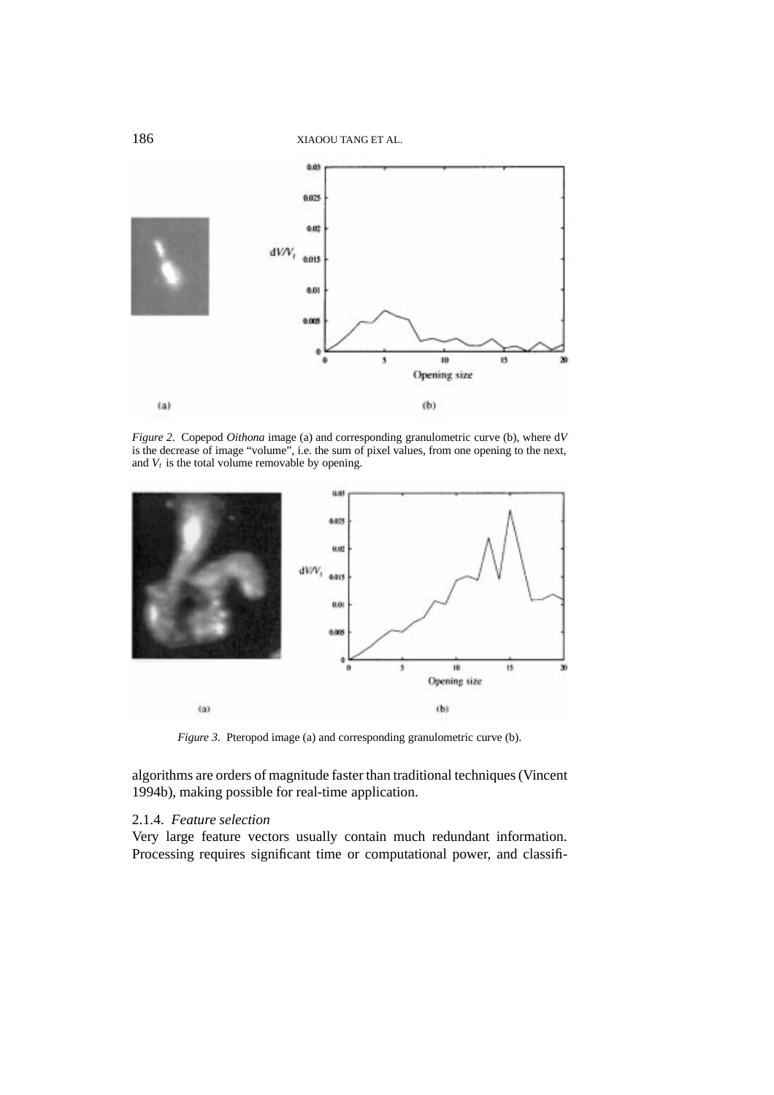

*Figure 2*. Copepod *Oithona* image (a) and corresponding granulometric curve (b), where d*V* is the decrease of image "volume", i.e. the sum of pixel values, from one opening to the next, and  $V_t$  is the total volume removable by opening.



*Figure 3.* Pteropod image (a) and corresponding granulometric curve (b).

algorithms are orders of magnitude faster than traditional techniques (Vincent 1994b), making possible for real-time application.

# 2.1.4. *Feature selection*

Very large feature vectors usually contain much redundant information. Processing requires significant time or computational power, and classifi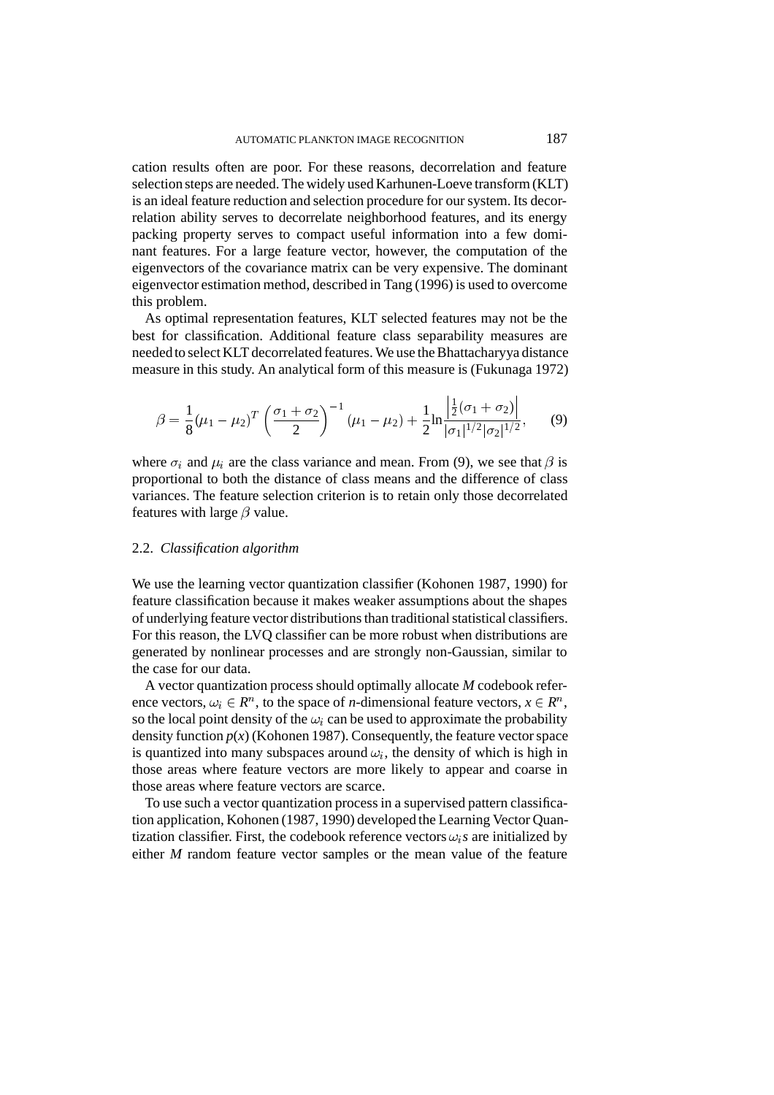cation results often are poor. For these reasons, decorrelation and feature selection steps are needed. The widely used Karhunen-Loeve transform (KLT) is an ideal feature reduction and selection procedure for our system. Its decorrelation ability serves to decorrelate neighborhood features, and its energy packing property serves to compact useful information into a few dominant features. For a large feature vector, however, the computation of the eigenvectors of the covariance matrix can be very expensive. The dominant eigenvector estimation method, described in Tang (1996) is used to overcome this problem.

As optimal representation features, KLT selected features may not be the best for classification. Additional feature class separability measures are needed to select KLT decorrelated features. We use the Bhattacharyya distance measure in this study. An analytical form of this measure is (Fukunaga 1972)

$$
\beta = \frac{1}{8}(\mu_1 - \mu_2)^T \left(\frac{\sigma_1 + \sigma_2}{2}\right)^{-1} (\mu_1 - \mu_2) + \frac{1}{2} \ln \frac{\left|\frac{1}{2}(\sigma_1 + \sigma_2)\right|}{|\sigma_1|^{1/2} |\sigma_2|^{1/2}},\tag{9}
$$

the contract of the contract of the contract of the contract of the contract of

the contract of the contract of the contract of the contract of the contract of

where  $\sigma_i$  and  $\mu_i$  are the class variance and mean. From (9), we see that  $\beta$  is proportional to both the distance of class means and the difference of class variances. The feature selection criterion is to retain only those decorrelated features with large  $\beta$  value.

# 2.2. *Classification algorithm*

We use the learning vector quantization classifier (Kohonen 1987, 1990) for feature classification because it makes weaker assumptions about the shapes of underlying feature vector distributions than traditional statistical classifiers. For this reason, the LVQ classifier can be more robust when distributions are generated by nonlinear processes and are strongly non-Gaussian, similar to the case for our data.

A vector quantization process should optimally allocate *M* codebook reference vectors,  $\omega_i \in \mathbb{R}^n$ , to the space of *n*-dimensional feature vectors,  $x \in \mathbb{R}^n$ , so the local point density of the  $\omega_i$  can be used to approximate the probability density function  $p(x)$  (Kohonen 1987). Consequently, the feature vector space is quantized into many subspaces around  $\omega_i$ , the density of which is high in those areas where feature vectors are more likely to appear and coarse in those areas where feature vectors are scarce.

To use such a vector quantization process in a supervised pattern classification application, Kohonen (1987, 1990) developed the Learning Vector Quantization classifier. First, the codebook reference vectors  $\omega_i$ *s* are initialized by either *M* random feature vector samples or the mean value of the feature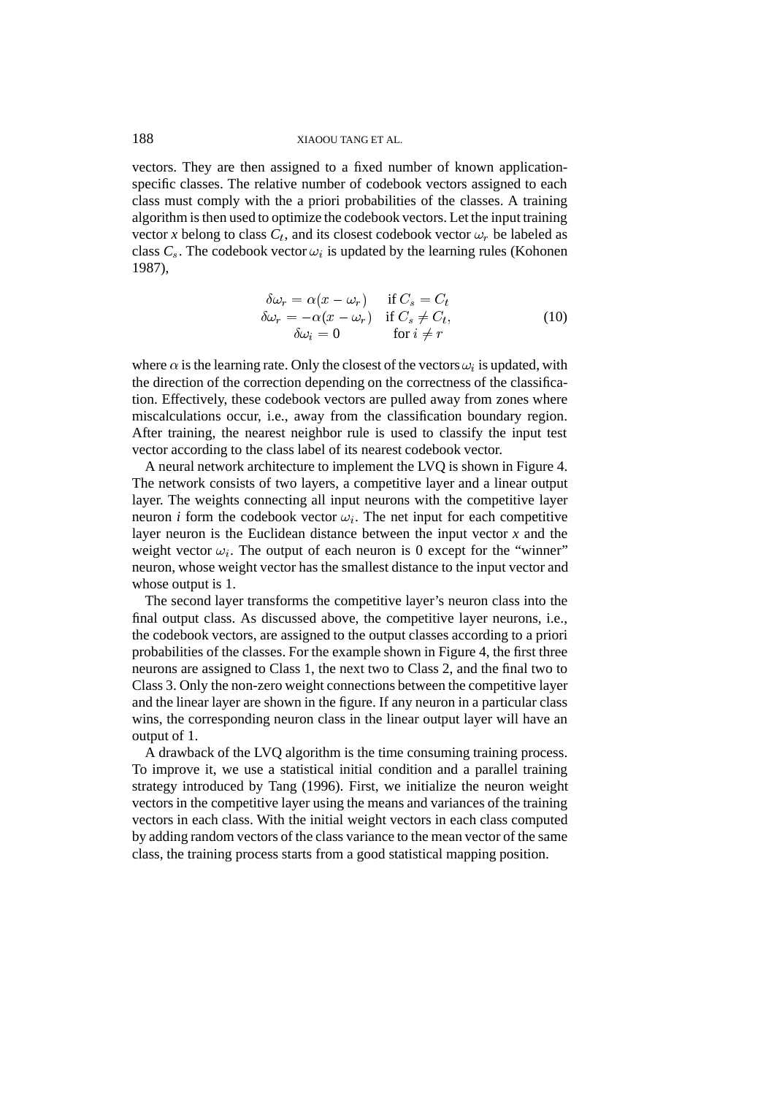vectors. They are then assigned to a fixed number of known applicationspecific classes. The relative number of codebook vectors assigned to each class must comply with the a priori probabilities of the classes. A training algorithm is then used to optimize the codebook vectors. Let the input training vector *x* belong to class  $C_t$ , and its closest codebook vector  $\omega_r$  be labeled as class  $C_s$ . The codebook vector  $\omega_i$  is updated by the learning rules (Kohonen 1987),

$$
\begin{aligned}\n\delta \omega_r &= \alpha (x - \omega_r) & \text{if } C_s = C_t \\
\delta \omega_r &= -\alpha (x - \omega_r) & \text{if } C_s \neq C_t, \\
\delta \omega_i &= 0 & \text{for } i \neq r\n\end{aligned} \tag{10}
$$

where  $\alpha$  is the learning rate. Only the closest of the vectors  $\omega_i$  is updated, with the direction of the correction depending on the correctness of the classification. Effectively, these codebook vectors are pulled away from zones where miscalculations occur, i.e., away from the classification boundary region. After training, the nearest neighbor rule is used to classify the input test vector according to the class label of its nearest codebook vector.

A neural network architecture to implement the LVQ is shown in Figure 4. The network consists of two layers, a competitive layer and a linear output layer. The weights connecting all input neurons with the competitive layer neuron *i* form the codebook vector  $\omega_i$ . The net input for each competitive layer neuron is the Euclidean distance between the input vector *x* and the weight vector  $\omega_i$ . The output of each neuron is 0 except for the "winner" neuron, whose weight vector has the smallest distance to the input vector and whose output is 1.

The second layer transforms the competitive layer's neuron class into the final output class. As discussed above, the competitive layer neurons, i.e., the codebook vectors, are assigned to the output classes according to a priori probabilities of the classes. For the example shown in Figure 4, the first three neurons are assigned to Class 1, the next two to Class 2, and the final two to Class 3. Only the non-zero weight connections between the competitive layer and the linear layer are shown in the figure. If any neuron in a particular class wins, the corresponding neuron class in the linear output layer will have an output of 1.

A drawback of the LVQ algorithm is the time consuming training process. To improve it, we use a statistical initial condition and a parallel training strategy introduced by Tang (1996). First, we initialize the neuron weight vectors in the competitive layer using the means and variances of the training vectors in each class. With the initial weight vectors in each class computed by adding random vectors of the class variance to the mean vector of the same class, the training process starts from a good statistical mapping position.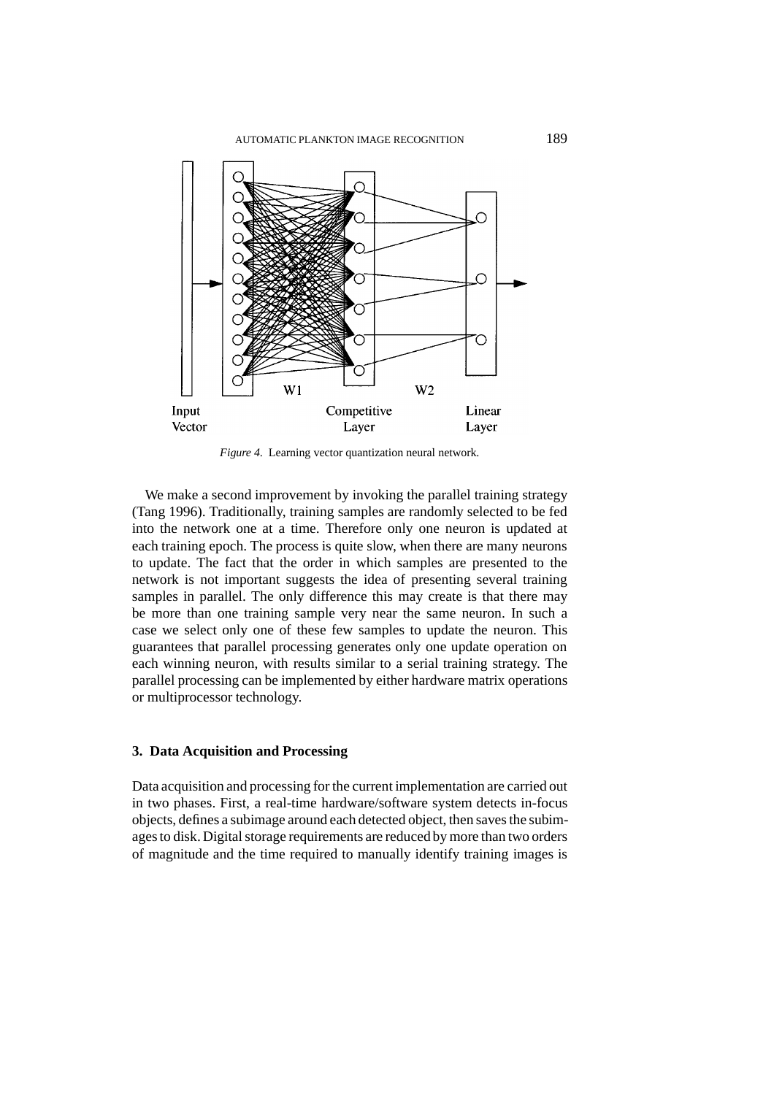

*Figure 4*. Learning vector quantization neural network.

We make a second improvement by invoking the parallel training strategy (Tang 1996). Traditionally, training samples are randomly selected to be fed into the network one at a time. Therefore only one neuron is updated at each training epoch. The process is quite slow, when there are many neurons to update. The fact that the order in which samples are presented to the network is not important suggests the idea of presenting several training samples in parallel. The only difference this may create is that there may be more than one training sample very near the same neuron. In such a case we select only one of these few samples to update the neuron. This guarantees that parallel processing generates only one update operation on each winning neuron, with results similar to a serial training strategy. The parallel processing can be implemented by either hardware matrix operations or multiprocessor technology.

# **3. Data Acquisition and Processing**

Data acquisition and processing for the current implementation are carried out in two phases. First, a real-time hardware/software system detects in-focus objects, defines a subimage around each detected object, then saves the subimages to disk. Digital storage requirements are reduced by more than two orders of magnitude and the time required to manually identify training images is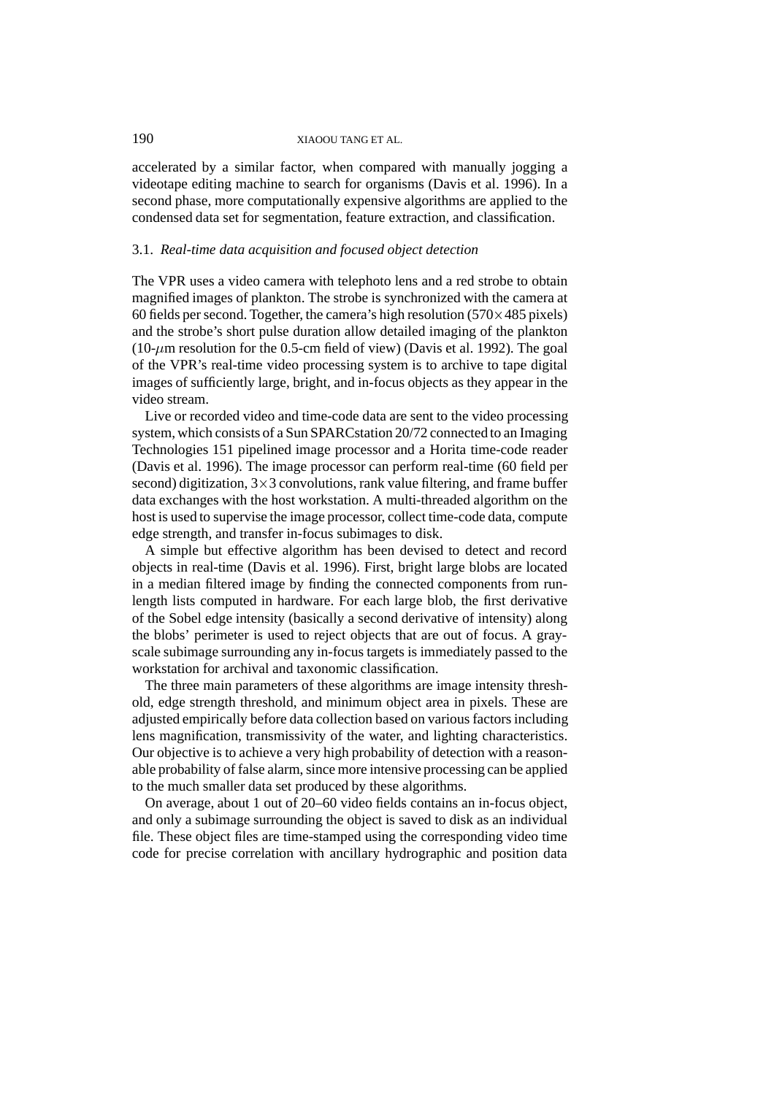accelerated by a similar factor, when compared with manually jogging a videotape editing machine to search for organisms (Davis et al. 1996). In a second phase, more computationally expensive algorithms are applied to the condensed data set for segmentation, feature extraction, and classification.

# 3.1. *Real-time data acquisition and focused object detection*

The VPR uses a video camera with telephoto lens and a red strobe to obtain magnified images of plankton. The strobe is synchronized with the camera at 60 fields per second. Together, the camera's high resolution  $(570\times485$  pixels) and the strobe's short pulse duration allow detailed imaging of the plankton (10- $\mu$ m resolution for the 0.5-cm field of view) (Davis et al. 1992). The goal of the VPR's real-time video processing system is to archive to tape digital images of sufficiently large, bright, and in-focus objects as they appear in the video stream.

Live or recorded video and time-code data are sent to the video processing system, which consists of a Sun SPARCstation 20/72 connected to an Imaging Technologies 151 pipelined image processor and a Horita time-code reader (Davis et al. 1996). The image processor can perform real-time (60 field per second) digitization,  $3\times 3$  convolutions, rank value filtering, and frame buffer data exchanges with the host workstation. A multi-threaded algorithm on the host is used to supervise the image processor, collect time-code data, compute edge strength, and transfer in-focus subimages to disk.

A simple but effective algorithm has been devised to detect and record objects in real-time (Davis et al. 1996). First, bright large blobs are located in a median filtered image by finding the connected components from runlength lists computed in hardware. For each large blob, the first derivative of the Sobel edge intensity (basically a second derivative of intensity) along the blobs' perimeter is used to reject objects that are out of focus. A grayscale subimage surrounding any in-focus targets is immediately passed to the workstation for archival and taxonomic classification.

The three main parameters of these algorithms are image intensity threshold, edge strength threshold, and minimum object area in pixels. These are adjusted empirically before data collection based on various factors including lens magnification, transmissivity of the water, and lighting characteristics. Our objective is to achieve a very high probability of detection with a reasonable probability of false alarm, since more intensive processing can be applied to the much smaller data set produced by these algorithms.

On average, about 1 out of 20–60 video fields contains an in-focus object, and only a subimage surrounding the object is saved to disk as an individual file. These object files are time-stamped using the corresponding video time code for precise correlation with ancillary hydrographic and position data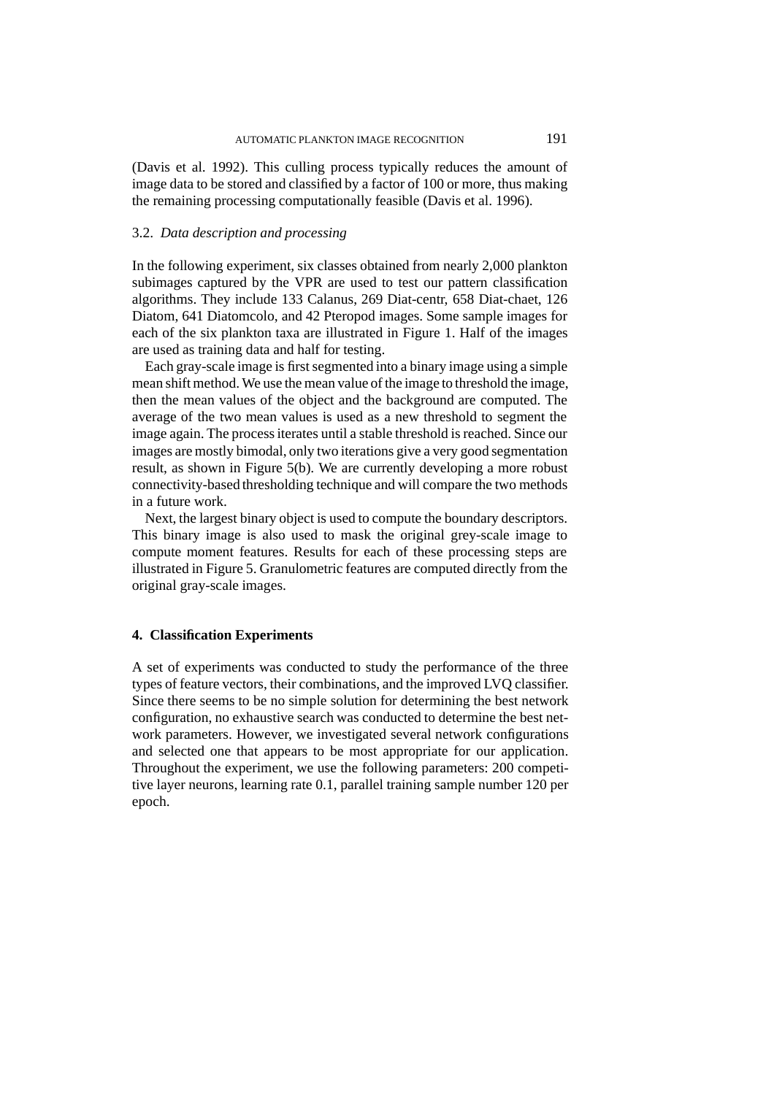(Davis et al. 1992). This culling process typically reduces the amount of image data to be stored and classified by a factor of 100 or more, thus making the remaining processing computationally feasible (Davis et al. 1996).

# 3.2. *Data description and processing*

In the following experiment, six classes obtained from nearly 2,000 plankton subimages captured by the VPR are used to test our pattern classification algorithms. They include 133 Calanus, 269 Diat-centr, 658 Diat-chaet, 126 Diatom, 641 Diatomcolo, and 42 Pteropod images. Some sample images for each of the six plankton taxa are illustrated in Figure 1. Half of the images are used as training data and half for testing.

Each gray-scale image is first segmented into a binary image using a simple mean shift method. We use the mean value of the image to threshold the image, then the mean values of the object and the background are computed. The average of the two mean values is used as a new threshold to segment the image again. The process iterates until a stable threshold is reached. Since our images are mostly bimodal, only two iterations give a very good segmentation result, as shown in Figure 5(b). We are currently developing a more robust connectivity-based thresholding technique and will compare the two methods in a future work.

Next, the largest binary object is used to compute the boundary descriptors. This binary image is also used to mask the original grey-scale image to compute moment features. Results for each of these processing steps are illustrated in Figure 5. Granulometric features are computed directly from the original gray-scale images.

# **4. Classification Experiments**

A set of experiments was conducted to study the performance of the three types of feature vectors, their combinations, and the improved LVQ classifier. Since there seems to be no simple solution for determining the best network configuration, no exhaustive search was conducted to determine the best network parameters. However, we investigated several network configurations and selected one that appears to be most appropriate for our application. Throughout the experiment, we use the following parameters: 200 competitive layer neurons, learning rate 0.1, parallel training sample number 120 per epoch.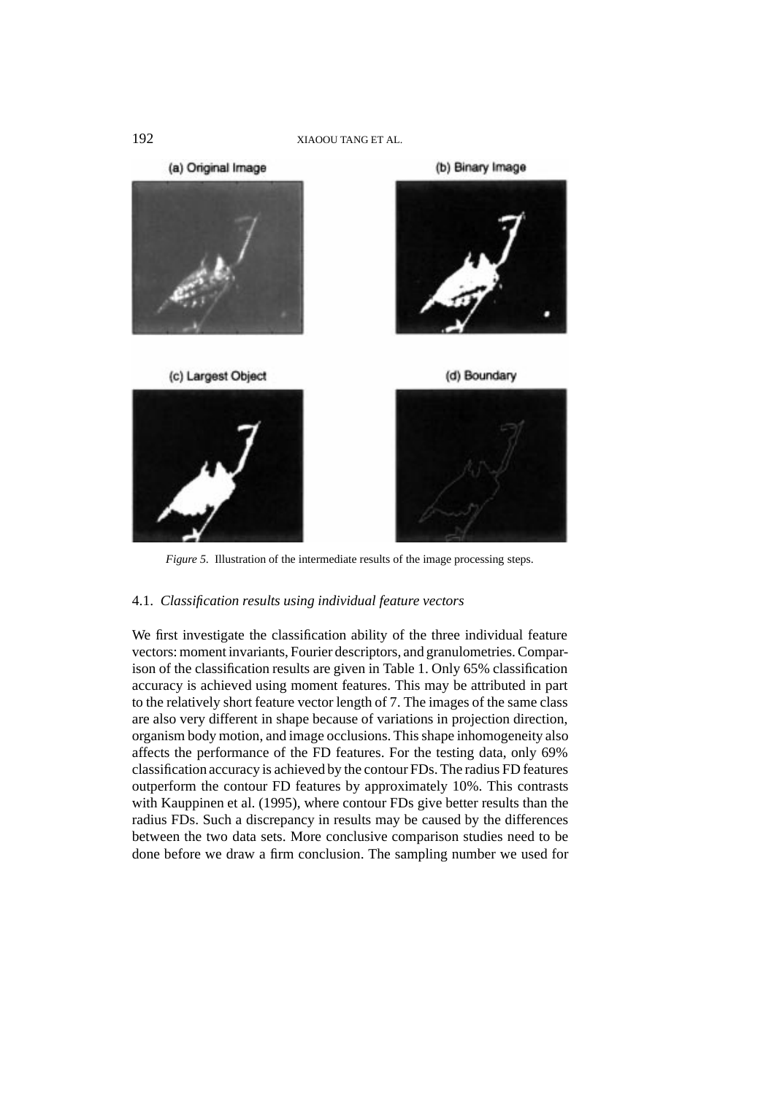

*Figure 5*. Illustration of the intermediate results of the image processing steps.

#### 4.1. *Classification results using individual feature vectors*

We first investigate the classification ability of the three individual feature vectors: moment invariants, Fourier descriptors, and granulometries. Comparison of the classification results are given in Table 1. Only 65% classification accuracy is achieved using moment features. This may be attributed in part to the relatively short feature vector length of 7. The images of the same class are also very different in shape because of variations in projection direction, organism body motion, and image occlusions. This shape inhomogeneity also affects the performance of the FD features. For the testing data, only 69% classification accuracy is achieved by the contour FDs. The radius FD features outperform the contour FD features by approximately 10%. This contrasts with Kauppinen et al. (1995), where contour FDs give better results than the radius FDs. Such a discrepancy in results may be caused by the differences between the two data sets. More conclusive comparison studies need to be done before we draw a firm conclusion. The sampling number we used for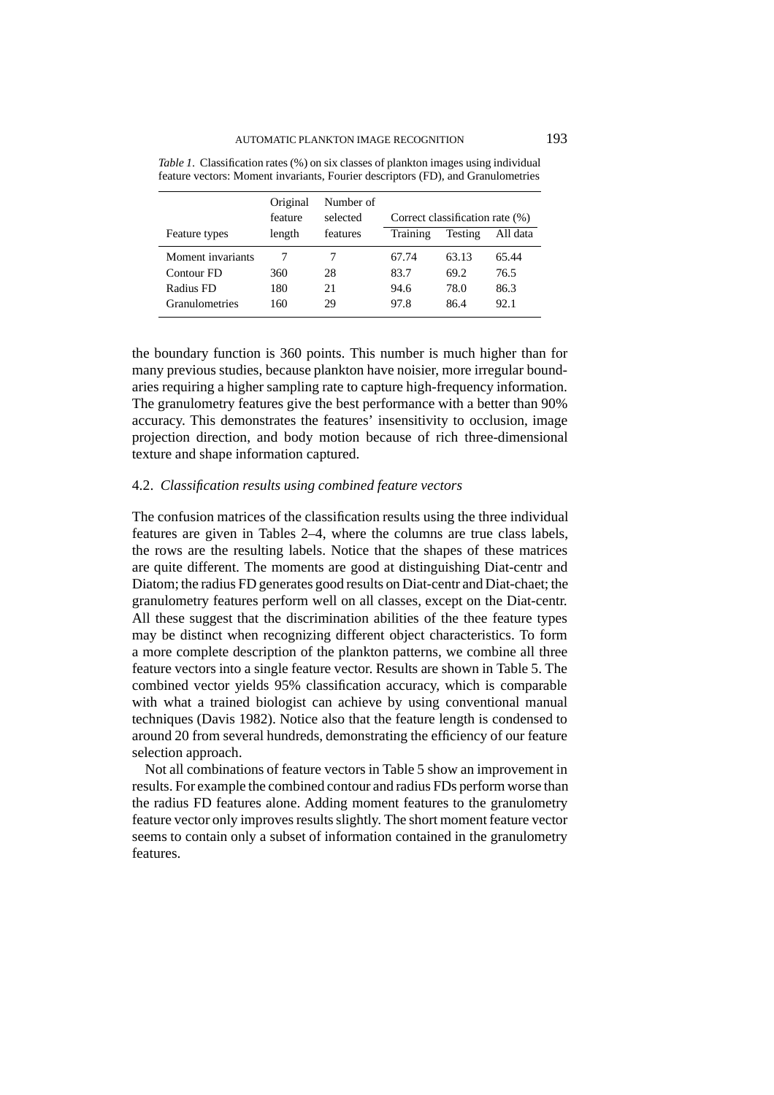| Feature types     | Original<br>feature<br>length | Number of<br>selected<br>features | Correct classification rate (%)<br>Training | Testing | All data |
|-------------------|-------------------------------|-----------------------------------|---------------------------------------------|---------|----------|
| Moment invariants |                               |                                   | 67.74                                       | 63.13   | 65.44    |
| Contour FD        | 360                           | 28                                | 83.7                                        | 69.2    | 76.5     |
| Radius FD         | 180                           | 21                                | 94.6                                        | 78.0    | 86.3     |
| Granulometries    | 160                           | 29                                | 97.8                                        | 86.4    | 92.1     |

*Table 1*. Classification rates (%) on six classes of plankton images using individual feature vectors: Moment invariants, Fourier descriptors (FD), and Granulometries

the boundary function is 360 points. This number is much higher than for many previous studies, because plankton have noisier, more irregular boundaries requiring a higher sampling rate to capture high-frequency information. The granulometry features give the best performance with a better than 90% accuracy. This demonstrates the features' insensitivity to occlusion, image projection direction, and body motion because of rich three-dimensional texture and shape information captured.

#### 4.2. *Classification results using combined feature vectors*

The confusion matrices of the classification results using the three individual features are given in Tables 2–4, where the columns are true class labels, the rows are the resulting labels. Notice that the shapes of these matrices are quite different. The moments are good at distinguishing Diat-centr and Diatom; the radius FD generates good results on Diat-centr and Diat-chaet; the granulometry features perform well on all classes, except on the Diat-centr. All these suggest that the discrimination abilities of the thee feature types may be distinct when recognizing different object characteristics. To form a more complete description of the plankton patterns, we combine all three feature vectors into a single feature vector. Results are shown in Table 5. The combined vector yields 95% classification accuracy, which is comparable with what a trained biologist can achieve by using conventional manual techniques (Davis 1982). Notice also that the feature length is condensed to around 20 from several hundreds, demonstrating the efficiency of our feature selection approach.

Not all combinations of feature vectors in Table 5 show an improvement in results. For example the combined contour and radius FDs perform worse than the radius FD features alone. Adding moment features to the granulometry feature vector only improves results slightly. The short moment feature vector seems to contain only a subset of information contained in the granulometry features.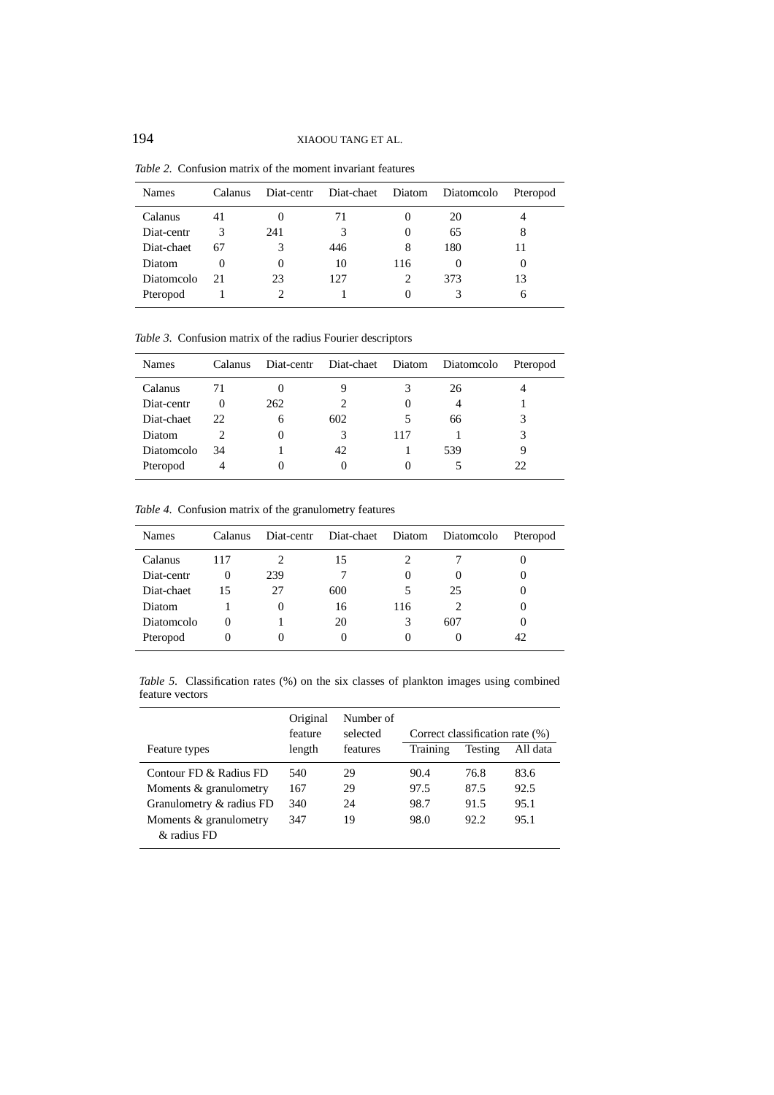| <b>Names</b> | <b>Calanus</b> | Diat-centr | Diat-chaet Diatom |         | Diatomcolo | Pteropod |
|--------------|----------------|------------|-------------------|---------|------------|----------|
| Calanus      | 41             |            | 71                |         | 20         |          |
| Diat-centr   | 3              | 241        | 3                 | $^{()}$ | 65         | 8        |
| Diat-chaet   | 67             |            | 446               | 8       | 180        |          |
| Diatom       |                | $\theta$   | 10                | 116     | 0          |          |
| Diatomcolo   | 21             | 23         | 127               | 2       | 373        | 13       |
| Pteropod     |                |            |                   |         | 3          | 6        |

*Table 2*. Confusion matrix of the moment invariant features

*Table 3*. Confusion matrix of the radius Fourier descriptors

| <b>Names</b> | Calanus  | Diat-centr |     |     | Diat-chaet Diatom Diatomcolo | Pteropod |
|--------------|----------|------------|-----|-----|------------------------------|----------|
| Calanus      | 71       |            | 9   |     | 26                           |          |
| Diat-centr   | $\theta$ | 262        |     |     |                              |          |
| Diat-chaet   | 22.      | 6          | 602 |     | 66                           |          |
| Diatom       |          |            | 3   | 117 |                              |          |
| Diatomcolo   | 34       |            | 42  |     | 539                          |          |
| Pteropod     | 4        |            | O   |     |                              | フフ       |

*Table 4*. Confusion matrix of the granulometry features

| Names      | Calanus  | Diat-centr | Diat-chaet |              | Diatom Diatomcolo           | Pteropod |
|------------|----------|------------|------------|--------------|-----------------------------|----------|
| Calanus    | 117      |            | 15         |              |                             |          |
| Diat-centr | $\theta$ | 239        |            |              | $\theta$                    |          |
| Diat-chaet | 15       | 27         | 600        |              | 25                          |          |
| Diatom     |          |            | 16         | 116          | $\mathcal{D}_{\mathcal{A}}$ |          |
| Diatomcolo | $\theta$ |            | 20         | 3            | 607                         |          |
| Pteropod   | $\theta$ |            | 0          | $\mathbf{0}$ | 0                           |          |

*Table 5*. Classification rates (%) on the six classes of plankton images using combined feature vectors

| Feature types            | Original<br>feature<br>length | Number of<br>selected<br>features | Training | Correct classification rate (%)<br>Testing | All data |
|--------------------------|-------------------------------|-----------------------------------|----------|--------------------------------------------|----------|
| Contour FD & Radius FD   | 540                           | 29                                | 90.4     | 76.8                                       | 83.6     |
| Moments & granulometry   | 167                           | 29                                | 97.5     | 87.5                                       | 92.5     |
| Granulometry & radius FD | 340                           | 24                                | 98.7     | 91.5                                       | 95.1     |
| Moments & granulometry   | 347                           | 19                                | 98.0     | 92.2                                       | 95.1     |
| & radius FD              |                               |                                   |          |                                            |          |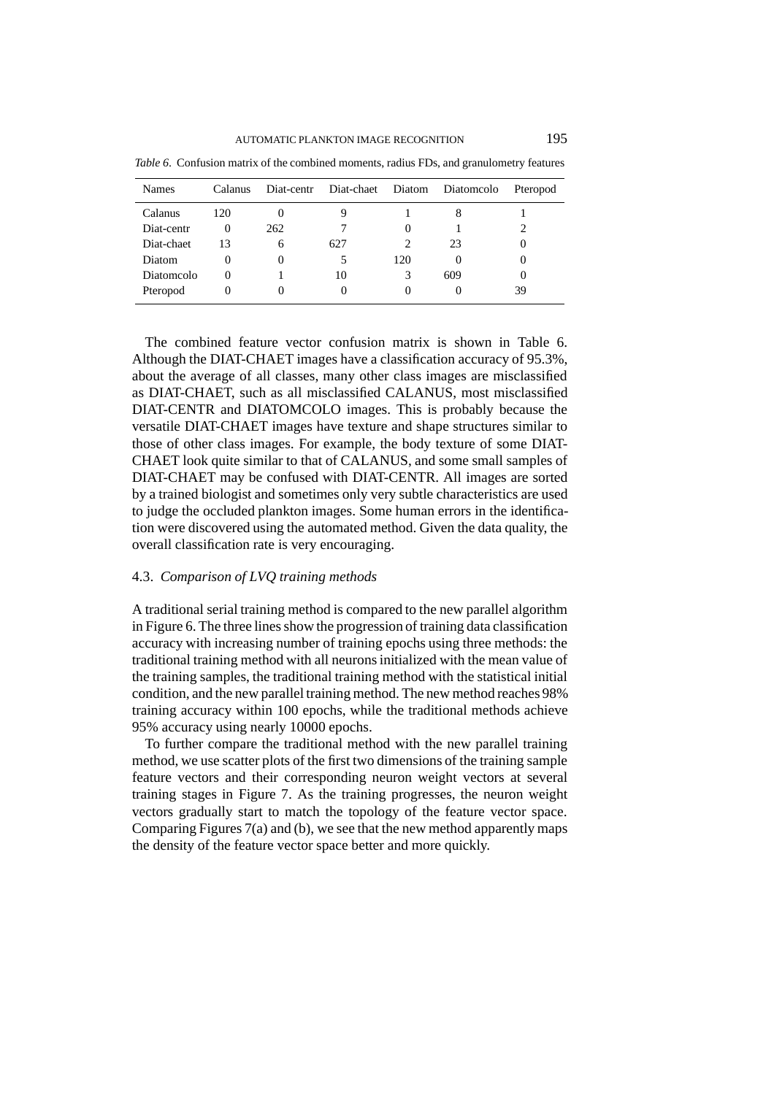| <b>Names</b> | Calanus  | Diat-centr | Diat-chaet Diatom |     | Diatomcolo | Pteropod |
|--------------|----------|------------|-------------------|-----|------------|----------|
| Calanus      | 120      |            | 9                 |     | 8          |          |
| Diat-centr   | $\theta$ | 262        |                   |     |            |          |
| Diat-chaet   | 13       | 6          | 627               |     | 23         |          |
| Diatom       | 0        |            | 5                 | 120 | $\theta$   |          |
| Diatomcolo   | $\theta$ |            | 10                | 3   | 609        |          |
| Pteropod     | 0        |            | 0                 |     | $\theta$   | 39       |

*Table 6*. Confusion matrix of the combined moments, radius FDs, and granulometry features

The combined feature vector confusion matrix is shown in Table 6. Although the DIAT-CHAET images have a classification accuracy of 95.3%, about the average of all classes, many other class images are misclassified as DIAT-CHAET, such as all misclassified CALANUS, most misclassified DIAT-CENTR and DIATOMCOLO images. This is probably because the versatile DIAT-CHAET images have texture and shape structures similar to those of other class images. For example, the body texture of some DIAT-CHAET look quite similar to that of CALANUS, and some small samples of DIAT-CHAET may be confused with DIAT-CENTR. All images are sorted by a trained biologist and sometimes only very subtle characteristics are used to judge the occluded plankton images. Some human errors in the identification were discovered using the automated method. Given the data quality, the overall classification rate is very encouraging.

#### 4.3. *Comparison of LVQ training methods*

A traditional serial training method is compared to the new parallel algorithm in Figure 6. The three lines show the progression of training data classification accuracy with increasing number of training epochs using three methods: the traditional training method with all neurons initialized with the mean value of the training samples, the traditional training method with the statistical initial condition, and the new parallel training method. The new method reaches 98% training accuracy within 100 epochs, while the traditional methods achieve 95% accuracy using nearly 10000 epochs.

To further compare the traditional method with the new parallel training method, we use scatter plots of the first two dimensions of the training sample feature vectors and their corresponding neuron weight vectors at several training stages in Figure 7. As the training progresses, the neuron weight vectors gradually start to match the topology of the feature vector space. Comparing Figures 7(a) and (b), we see that the new method apparently maps the density of the feature vector space better and more quickly.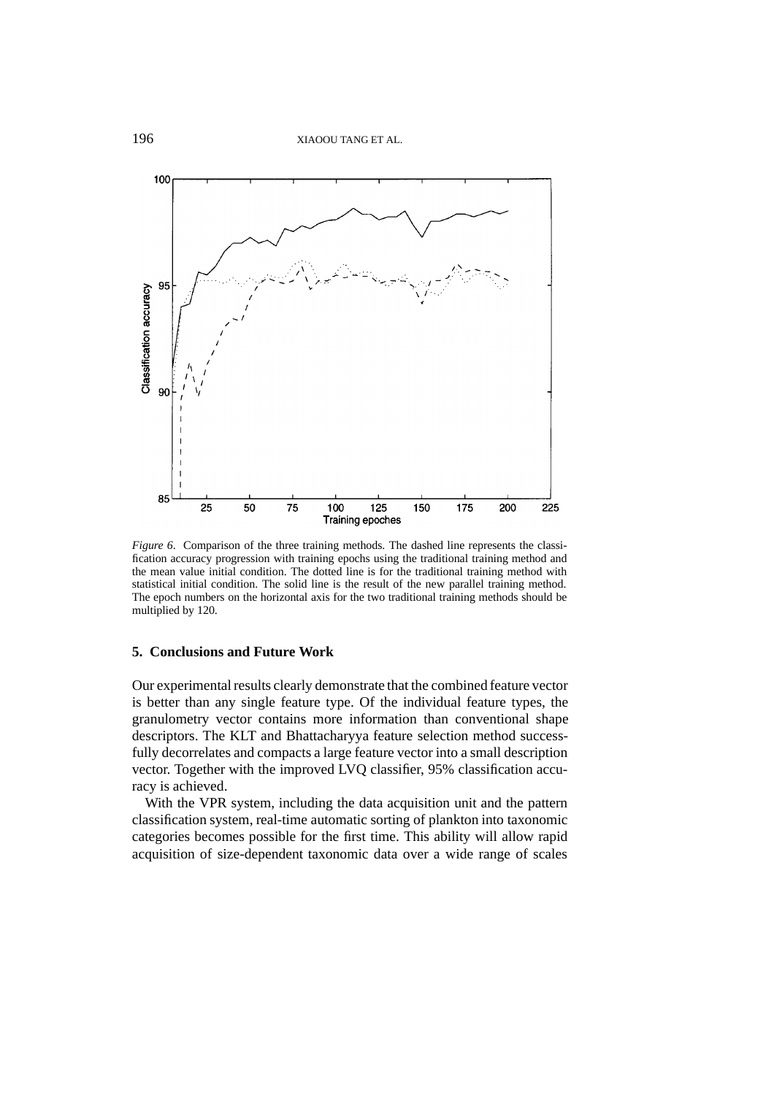

*Figure 6*. Comparison of the three training methods. The dashed line represents the classification accuracy progression with training epochs using the traditional training method and the mean value initial condition. The dotted line is for the traditional training method with statistical initial condition. The solid line is the result of the new parallel training method. The epoch numbers on the horizontal axis for the two traditional training methods should be multiplied by 120.

# **5. Conclusions and Future Work**

Our experimental results clearly demonstrate that the combined feature vector is better than any single feature type. Of the individual feature types, the granulometry vector contains more information than conventional shape descriptors. The KLT and Bhattacharyya feature selection method successfully decorrelates and compacts a large feature vector into a small description vector. Together with the improved LVQ classifier, 95% classification accuracy is achieved.

With the VPR system, including the data acquisition unit and the pattern classification system, real-time automatic sorting of plankton into taxonomic categories becomes possible for the first time. This ability will allow rapid acquisition of size-dependent taxonomic data over a wide range of scales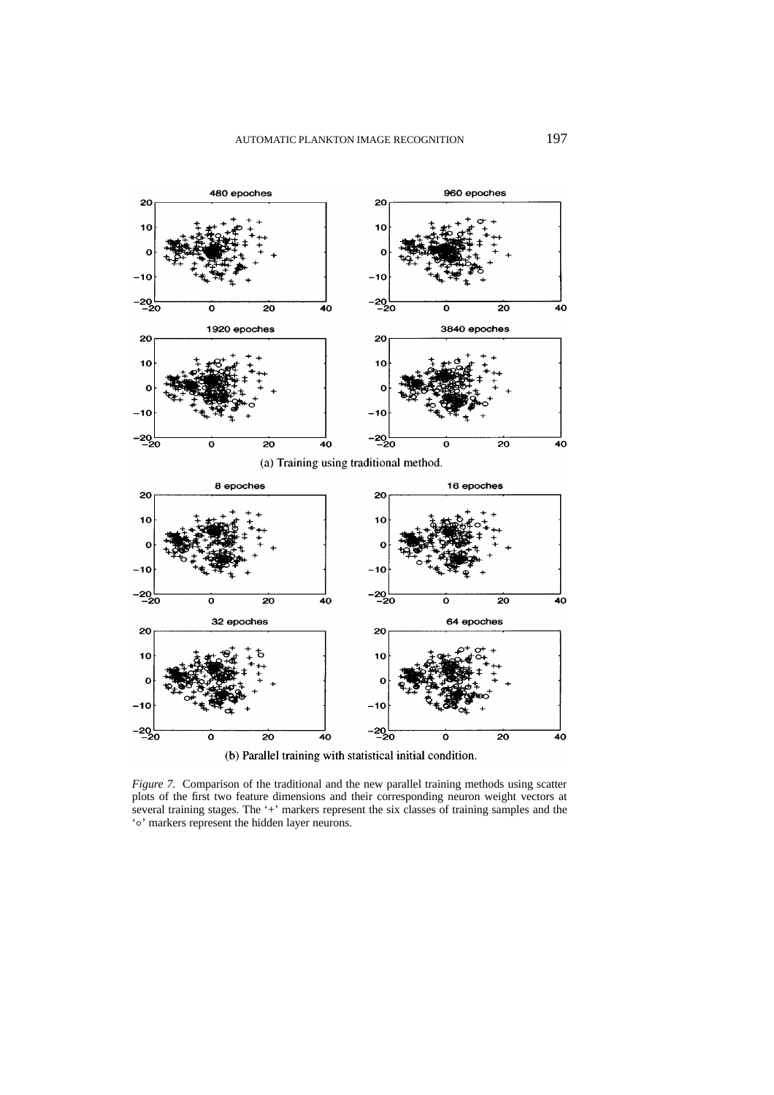

(b) Parallel training with statistical initial condition.

*Figure 7*. Comparison of the traditional and the new parallel training methods using scatter plots of the first two feature dimensions and their corresponding neuron weight vectors at several training stages. The '+' markers represent the six classes of training samples and the 'o' markers represent the hidden layer neurons.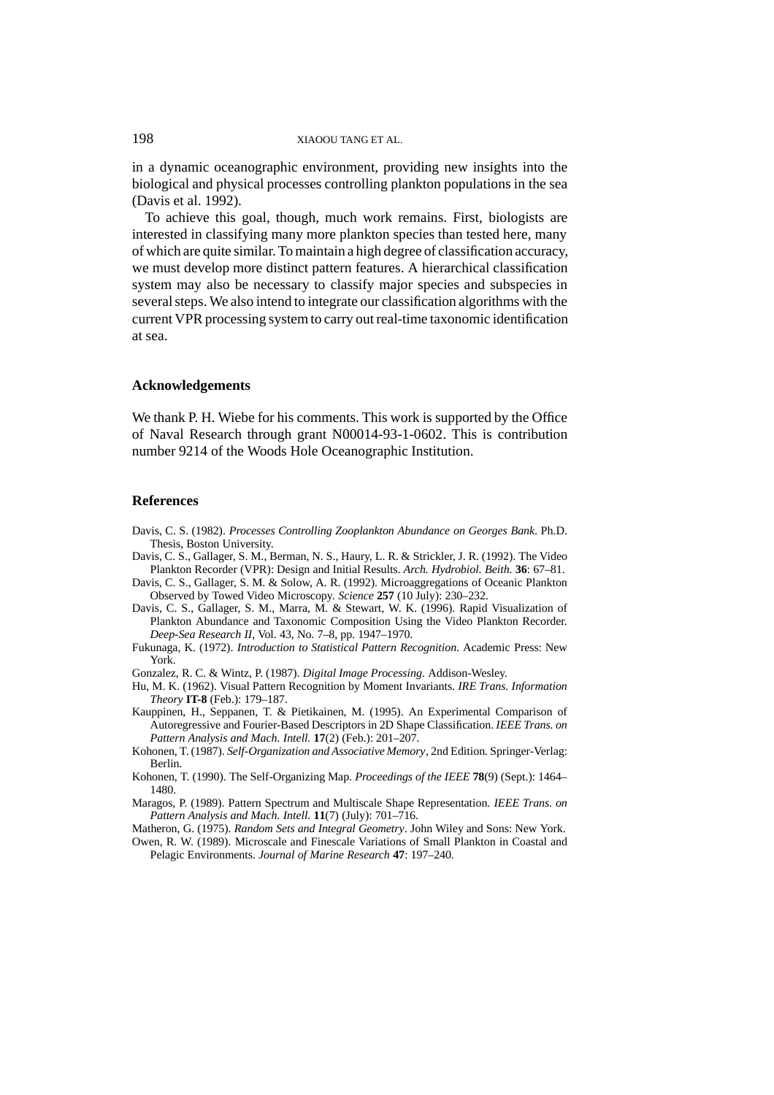in a dynamic oceanographic environment, providing new insights into the biological and physical processes controlling plankton populations in the sea (Davis et al. 1992).

To achieve this goal, though, much work remains. First, biologists are interested in classifying many more plankton species than tested here, many of which are quite similar. To maintain a high degree of classification accuracy, we must develop more distinct pattern features. A hierarchical classification system may also be necessary to classify major species and subspecies in several steps. We also intend to integrate our classification algorithms with the current VPR processing system to carry out real-time taxonomic identification at sea.

#### **Acknowledgements**

We thank P. H. Wiebe for his comments. This work is supported by the Office of Naval Research through grant N00014-93-1-0602. This is contribution number 9214 of the Woods Hole Oceanographic Institution.

# **References**

- Davis, C. S. (1982). *Processes Controlling Zooplankton Abundance on Georges Bank*. Ph.D. Thesis, Boston University.
- Davis, C. S., Gallager, S. M., Berman, N. S., Haury, L. R. & Strickler, J. R. (1992). The Video Plankton Recorder (VPR): Design and Initial Results. *Arch. Hydrobiol. Beith.* **36**: 67–81.
- Davis, C. S., Gallager, S. M. & Solow, A. R. (1992). Microaggregations of Oceanic Plankton Observed by Towed Video Microscopy. *Science* **257** (10 July): 230–232.
- Davis, C. S., Gallager, S. M., Marra, M. & Stewart, W. K. (1996). Rapid Visualization of Plankton Abundance and Taxonomic Composition Using the Video Plankton Recorder. *Deep-Sea Research II*, Vol. 43, No. 7–8, pp. 1947–1970.
- Fukunaga, K. (1972). *Introduction to Statistical Pattern Recognition*. Academic Press: New York.
- Gonzalez, R. C. & Wintz, P. (1987). *Digital Image Processing*. Addison-Wesley.
- Hu, M. K. (1962). Visual Pattern Recognition by Moment Invariants. *IRE Trans. Information Theory* **IT-8** (Feb.): 179–187.
- Kauppinen, H., Seppanen, T. & Pietikainen, M. (1995). An Experimental Comparison of Autoregressive and Fourier-Based Descriptors in 2D Shape Classification. *IEEE Trans. on Pattern Analysis and Mach. Intell.* **17**(2) (Feb.): 201–207.
- Kohonen, T. (1987). *Self-Organization and Associative Memory*, 2nd Edition. Springer-Verlag: Berlin.
- Kohonen, T. (1990). The Self-Organizing Map. *Proceedings of the IEEE* **78**(9) (Sept.): 1464– 1480.
- Maragos, P. (1989). Pattern Spectrum and Multiscale Shape Representation. *IEEE Trans. on Pattern Analysis and Mach. Intell.* **11**(7) (July): 701–716.
- Matheron, G. (1975). *Random Sets and Integral Geometry*. John Wiley and Sons: New York. Owen, R. W. (1989). Microscale and Finescale Variations of Small Plankton in Coastal and Pelagic Environments. *Journal of Marine Research* **47**: 197–240.